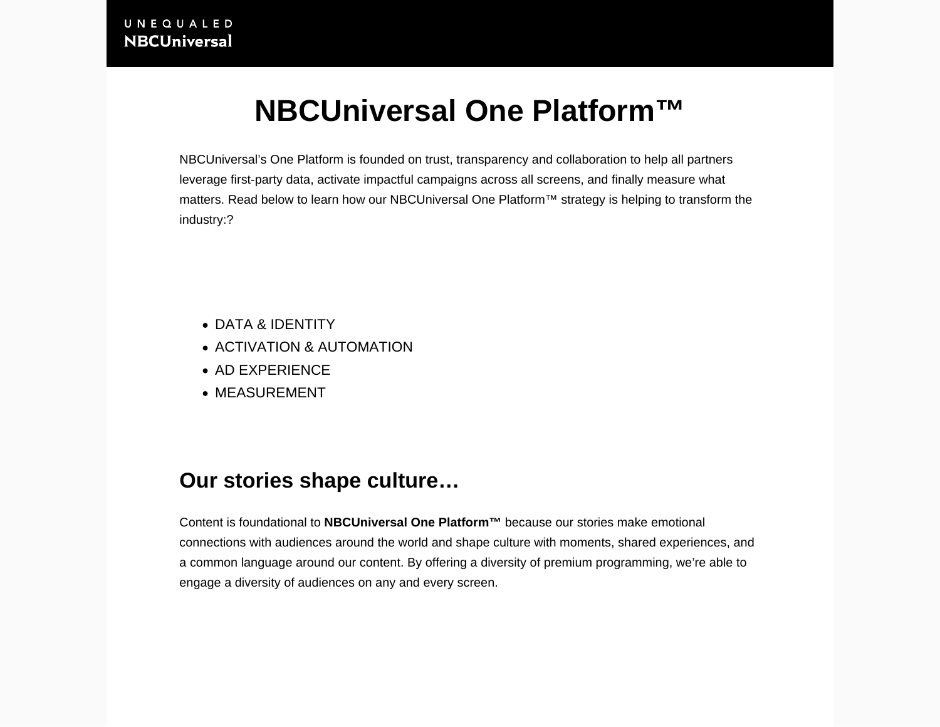# NBCUniversal One Platform™

NBCUniversal's One Platform is founded on trust, transparency and collaboration to help all partners leverage first-party data, activate impactful campaigns across all screens, and finally measure what matters. Read below to learn how our NBCUniversal One Platform™ strategy is helping to transform the industry:?

- [DATA & IDENTITY](/nas/content/live/nbcuni/#nav-data)
- [ACTIVATION & AUTOMATION](/nas/content/live/nbcuni/#nav-activation)
- [AD EXPERIENCE](/nas/content/live/nbcuni/#nav-ad)
- [MEASUREMENT](/nas/content/live/nbcuni/#nav-measurement)

### Our stories shape culture…

Content is foundational to NBCUniversal One Platform™ because our stories make emotional connections with audiences around the world and shape culture with moments, shared experiences, and a common language around our content. By offering a [diversity of premium programming,](https://together.nbcuni.com/content/) we're able to engage a diversity of audiences on any and every screen.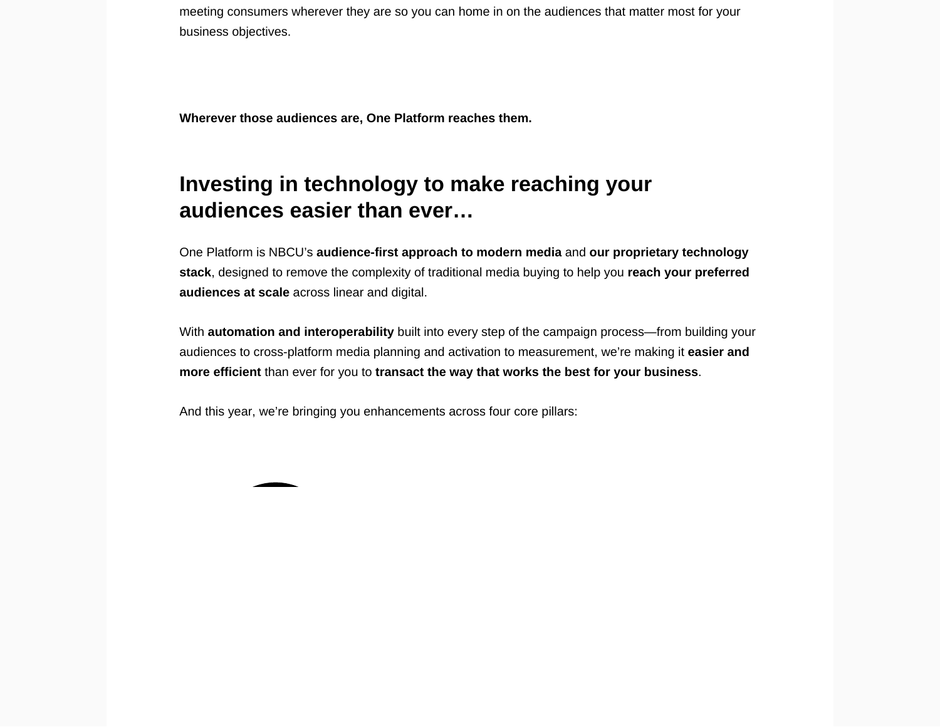meeting consumers wherever they are so you can home in on the audiences that matter most for your business objectives.

Wherever those audiences are, One Platform reaches them.

## Investing in technology to make reaching your audiences easier than ever…

One Platform is NBCU's audience-first approach to modern media and our proprietary technology stack , designed to remove the complexity of traditional media buying to help you reach your preferred audiences at scale across linear and digital.

With automation and interoperability built into every step of the campaign process—from building your audiences to cross-platform media planning and activation to measurement, we're making it easier and more efficient than ever for you to transact the way that works the best for your business

And this year, we're bringing you enhancements across four core pillars: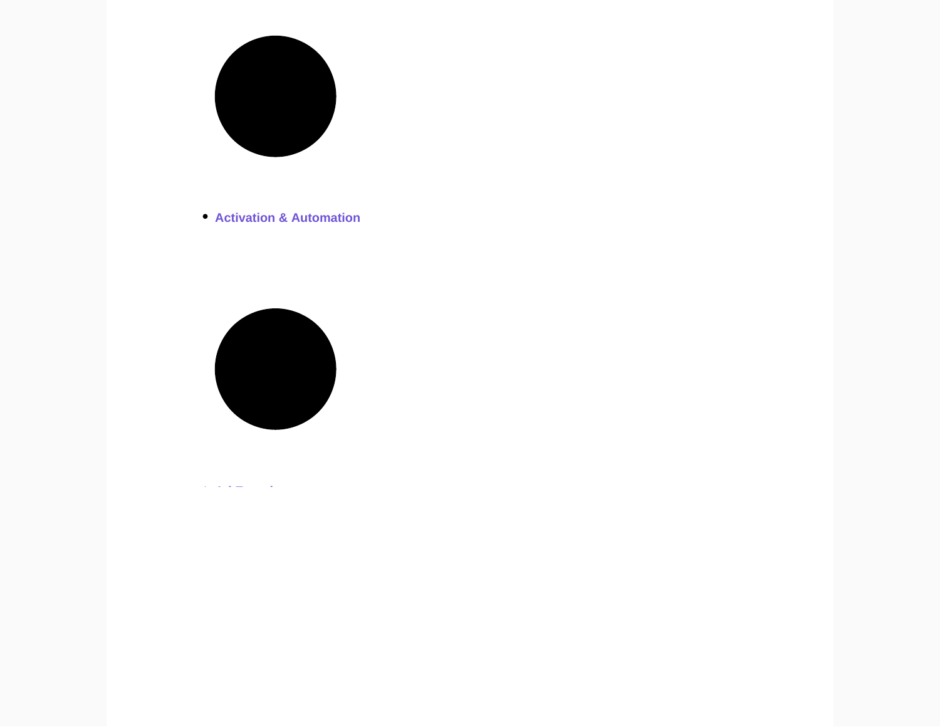

[Activation & Automation](https://together.nbcuni.com/advertising/oneplatform/#nav-activation)



[Ad Experience](https://together.nbcuni.com/advertising/oneplatform/#nav-ad)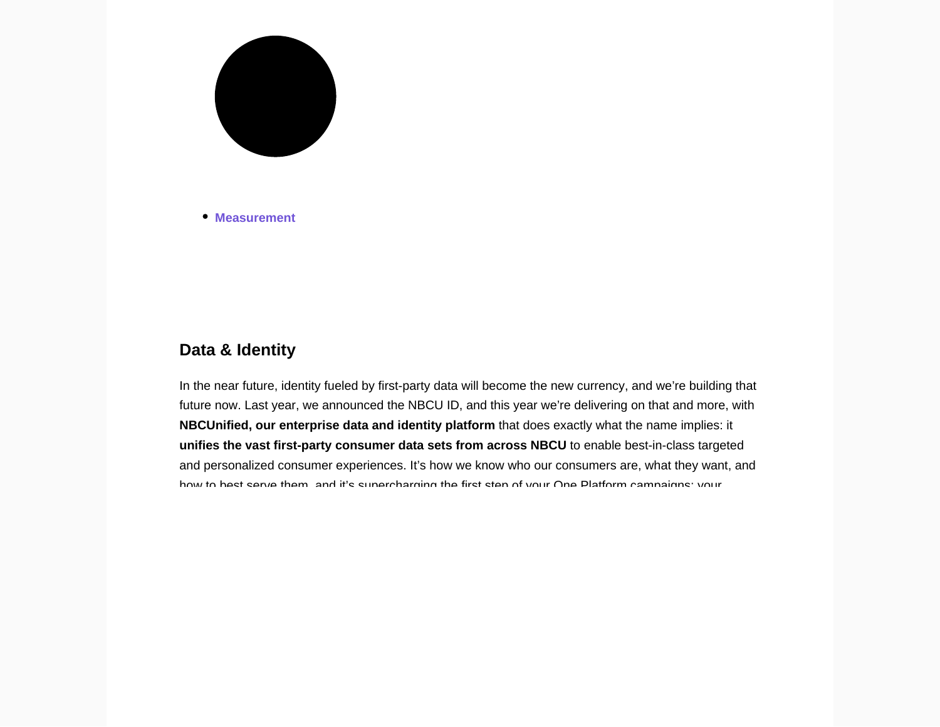

[Measurement](https://together.nbcuni.com/advertising/oneplatform/#nav-measurement)

#### Data & Identity

In the near future, identity fueled by first-party data will become the new currency, and we're building that future now. Last year, we announced the NBCU ID, and this year we're delivering on that and more, with [NBCUnified](https://together.nbcuni.com/advertising/oneplatform/nbcunified/), our enterprise data and identity platform that does exactly what the name implies: it unifies the vast first-party consumer data sets from across NBCU to enable best-in-class targeted and personalized consumer experiences. It's how we know who our consumers are, what they want, and how to best serve them, and it's supercharging the first step of your One Platform campaigns: your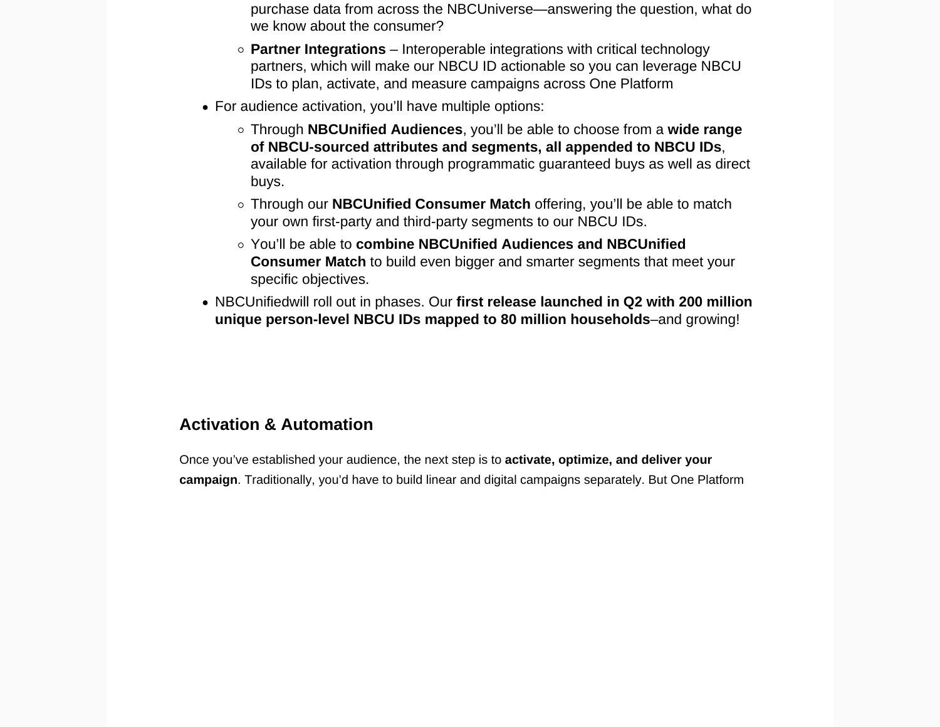- purchase data from across the NBCUniverse—answering the question, what do we know about the consumer?
- $\circ$  Partner Integrations  $-$  Interoperable integrations with critical technology partners, which will make our NBCU ID actionable so you can leverage NBCU IDs to plan, activate, and measure campaigns across One Platform
- For audience activation, you'll have multiple options:
	- Through NBCUnified Audiences , you'll be able to choose from a wide range of NBCU-sourced attributes and segments, all appended to NBCU IDs , available for activation through programmatic guaranteed buys as well as direct buys.
	- Through our NBCUnified Consumer Match offering, you'll be able to match your own first-party and third-party segments to our NBCU IDs.
	- You'll be able to combine NBCUnified Audiences and NBCUnified Consumer Match to build even bigger and smarter segments that meet your specific objectives.
- [NBCUnifiedw](https://together.nbcuni.com/advertising/oneplatform/nbcunified/)ill roll out in phases. Our first release launched in Q2 with 200 million unique person-level NBCU IDs mapped to 80 million households – and growing!

### Activation & Automation

Once you've established your audience, the next step is to activate, optimize, and deliver your campaign . Traditionally, you'd have to build linear and digital campaigns separately. But One Platform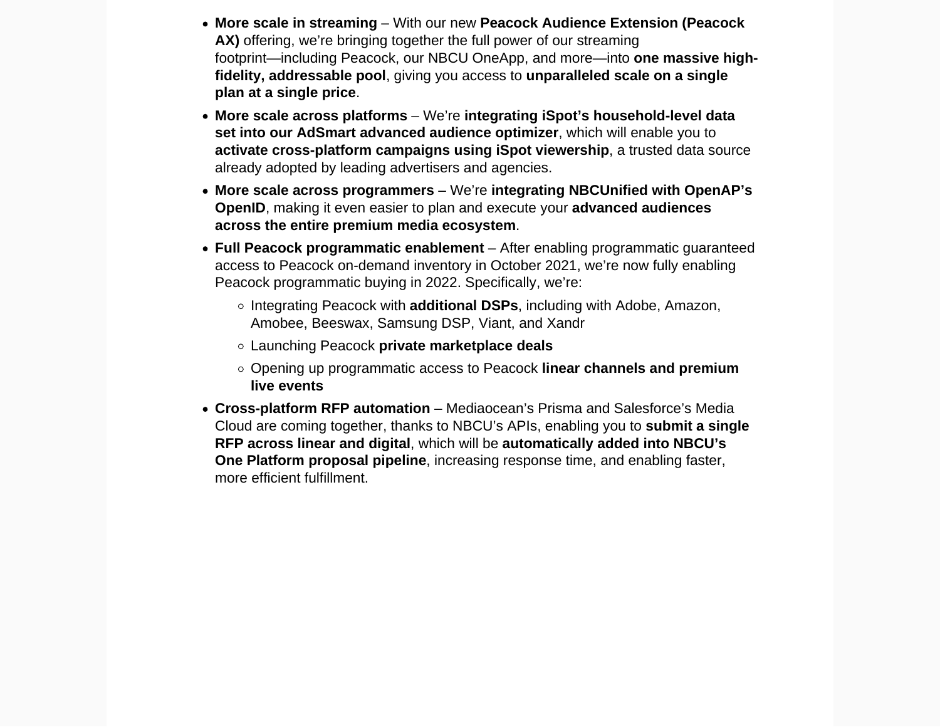- More scale in streaming With our new Peacock Audience Extension (Peacock AX) offering, we're bringing together the full power of our streaming footprint—including Peacock, our NBCU OneApp, and more—into one massive highfidelity, addressable pool , giving you access to unparalleled scale on a single plan at a single price .
- More scale across platforms We're integrating iSpot's household-level data set into our [AdSmart](https://together.nbcuni.com/advertising/oneplatform/adsmart/) advanced audience optimizer , which will enable you to activate cross-platform campaigns using iSpot viewership , a trusted data source already adopted by leading advertisers and agencies.
- More scale across programmers We're integrating NBCUnified with OpenAP's OpenID, making it even easier to plan and execute your advanced audiences across the entire premium media ecosystem .
- Full Peacock programmatic enablement After enabling programmatic guaranteed access to Peacock on-demand inventory in October 2021, we're now fully enabling Peacock programmatic buying in 2022. Specifically, we're:
	- Integrating Peacock with additional DSPs, including with Adobe, Amazon, Amobee, Beeswax, Samsung DSP, Viant, and Xandr
	- Launching Peacock private marketplace deals
	- $\circ$  Opening up programmatic access to Peacock linear channels and premium live events
- Cross-platform RFP automation Mediaocean's Prisma and Salesforce's Media Cloud are coming together, thanks to NBCU's APIs, enabling you to submit a single RFP across linear and digital , which will be automatically added into NBCU's One Platform proposal pipeline , increasing response time, and enabling faster, more efficient fulfillment.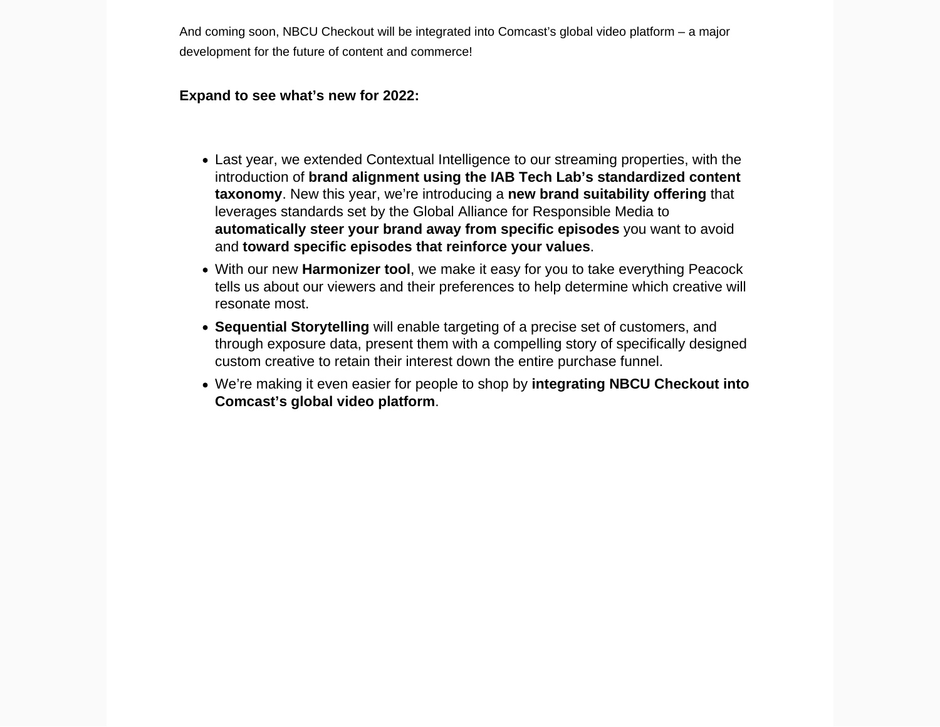And coming soon, [NBCU Checkout will be integrated into Comcast's global video platform](https://together.nbcuni.com/insights/news/creativity-technology-converge-at-one22/#comcast) – a major development for the future of content and commerce!

Expand to see what's new for 2022:

- Last year, we extended Contextual Intelligence to our streaming properties, with the introduction of brand alignment using the IAB Tech Lab's standardized content taxonomy. New this year, we're introducing a new brand suitability offering that leverages standards set by the Global Alliance for Responsible Media to automatically steer your brand away from specific episodes you want to avoid and toward specific episodes that reinforce your values .
- With our new [Harmonizer](https://together.nbcuni.com/insights/news/creativity-technology-converge-at-one22/#harmonizer) tool , we make it easy for you to take everything Peacock tells us about our viewers and their preferences to help determine which creative will resonate most.
- Sequential Storytelling will enable targeting of a precise set of customers, and through exposure data, present them with a compelling story of specifically designed custom creative to retain their interest down the entire purchase funnel.
- We're making it even easier for people to shop by integrating NBCU Checkout into Comcast's global video platform .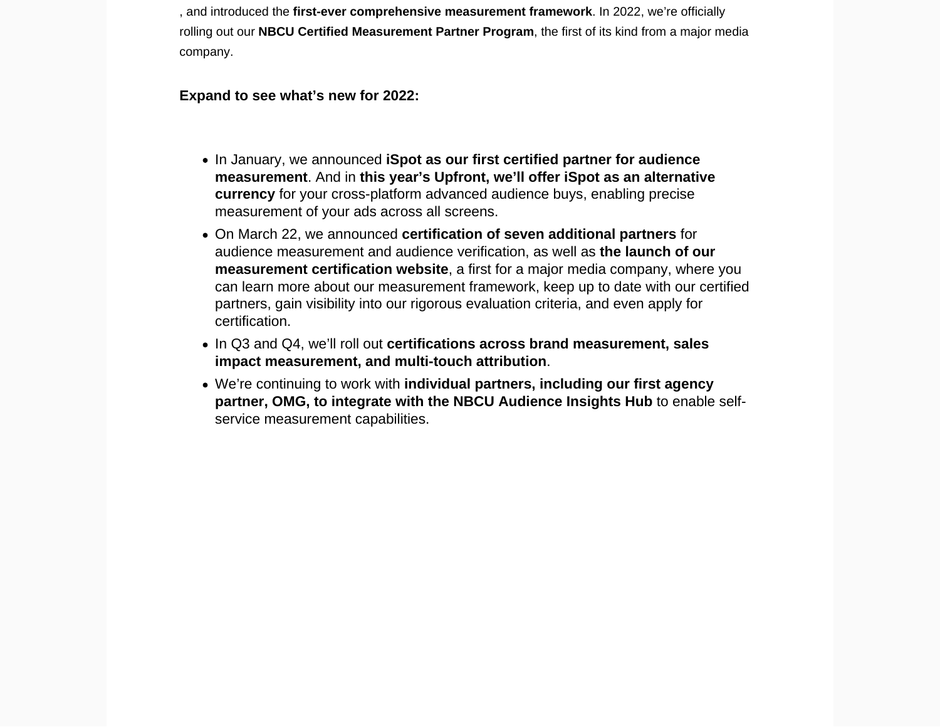, and introduced the first-ever comprehensive measurement framework . In 2022, we're officially rolling out our NBCU Certified Measurement Partner Program , the first of its kind from a major media company.

Expand to see what's new for 2022:

- In January, we announced iSpot as our first certified partner for audience measurement . And in this year's Upfront, we'll offer iSpot as an alternative currency for your cross-platform advanced audience buys, enabling precise measurement of your ads across all screens.
- On March 22, we announced certification of seven additional partners for audience measurement and audience verification, as well as the launch of our [measurement certification website](https://together.nbcuni.com/nbcu-certified-measurement-partner-program) , a first for a major media company, where you can learn more about our measurement framework, keep up to date with our certified partners, gain visibility into our rigorous evaluation criteria, and even apply for certification.
- In Q3 and Q4, we'll roll out certifications across brand measurement, sales impact measurement, and multi-touch attribution .
- We're continuing to work with individual partners, including our first agency partner, OMG, to integrate with the NBCU Audience Insights Hub to enable selfservice measurement capabilities.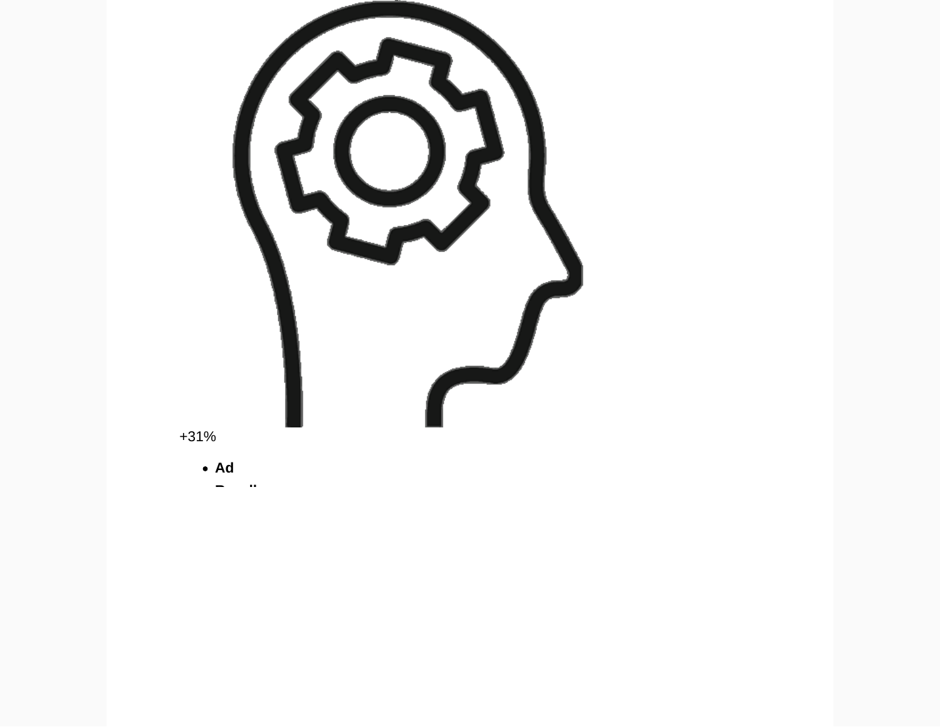

ä.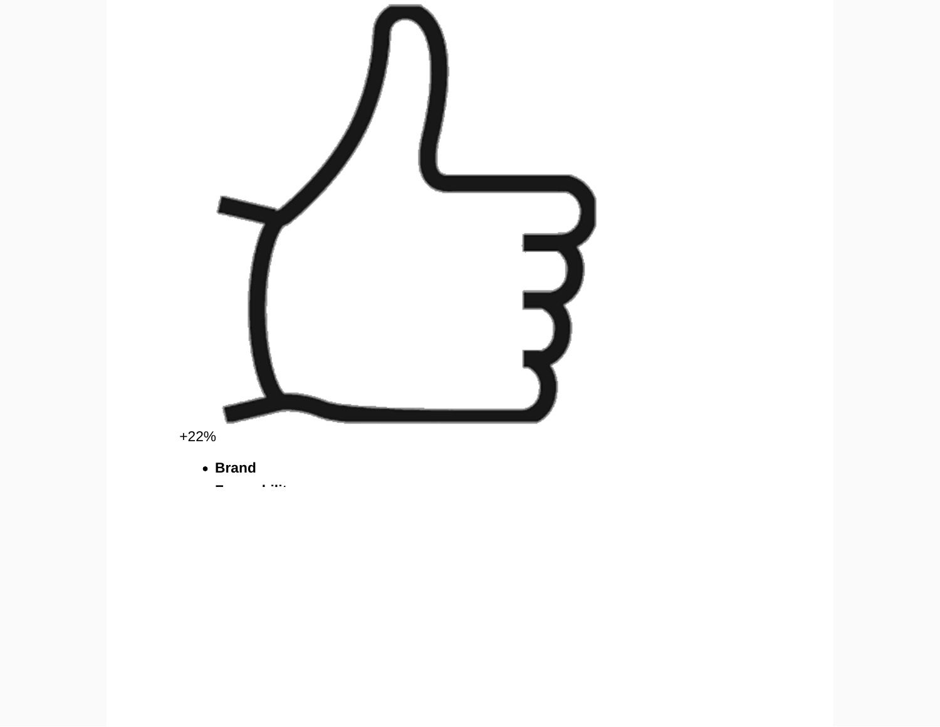

**Favorability**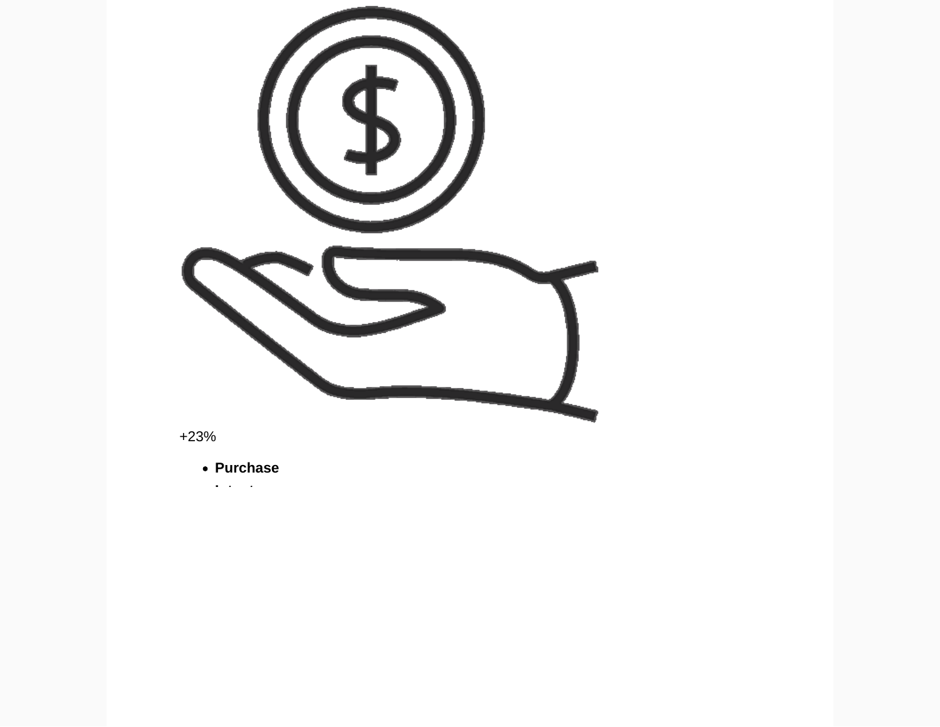

+23%

**Purchase**

**Intent**